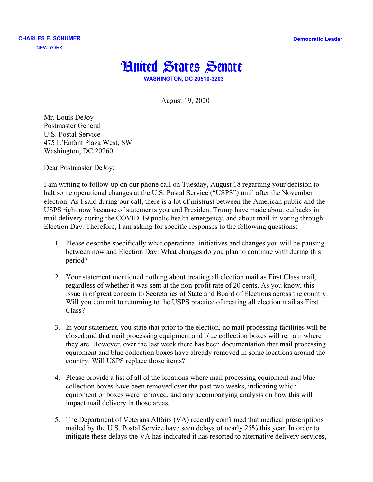**Democratic Leader**



August 19, 2020

Mr. Louis DeJoy Postmaster General U.S. Postal Service 475 L'Enfant Plaza West, SW Washington, DC 20260

Dear Postmaster DeJoy:

I am writing to follow-up on our phone call on Tuesday, August 18 regarding your decision to halt some operational changes at the U.S. Postal Service ("USPS") until after the November election. As I said during our call, there is a lot of mistrust between the American public and the USPS right now because of statements you and President Trump have made about cutbacks in mail delivery during the COVID-19 public health emergency, and about mail-in voting through Election Day. Therefore, I am asking for specific responses to the following questions:

- 1. Please describe specifically what operational initiatives and changes you will be pausing between now and Election Day. What changes do you plan to continue with during this period?
- 2. Your statement mentioned nothing about treating all election mail as First Class mail, regardless of whether it was sent at the non-profit rate of 20 cents. As you know, this issue is of great concern to Secretaries of State and Board of Elections across the country. Will you commit to returning to the USPS practice of treating all election mail as First Class?
- 3. In your statement, you state that prior to the election, no mail processing facilities will be closed and that mail processing equipment and blue collection boxes will remain where they are. However, over the last week there has been documentation that mail processing equipment and blue collection boxes have already removed in some locations around the country. Will USPS replace those items?
- 4. Please provide a list of all of the locations where mail processing equipment and blue collection boxes have been removed over the past two weeks, indicating which equipment or boxes were removed, and any accompanying analysis on how this will impact mail delivery in those areas.
- 5. The Department of Veterans Affairs (VA) recently confirmed that medical prescriptions mailed by the U.S. Postal Service have seen delays of nearly 25% this year. In order to mitigate these delays the VA has indicated it has resorted to alternative delivery services,